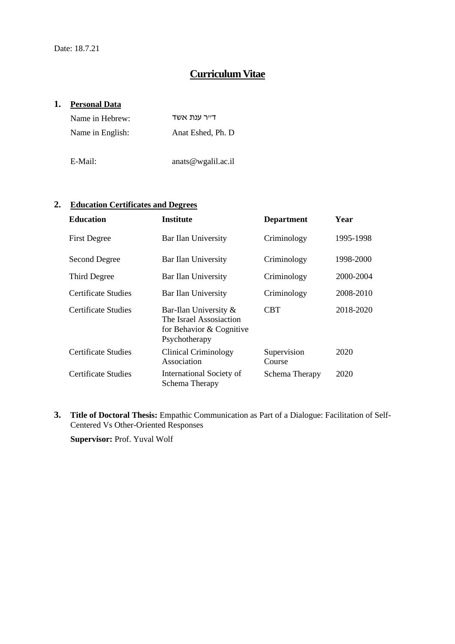# **Curriculum Vitae**

#### **1. Personal Data**

| Name in Hebrew:  | דייר ענת אשד           |
|------------------|------------------------|
| Name in English: | Anat Eshed, Ph. D.     |
|                  |                        |
| E-Mail:          | anats $@$ wgalil.ac.il |

#### **2. Education Certificates and Degrees**

| <b>Education</b>     | <b>Institute</b>                                                                              | <b>Department</b>     | Year      |
|----------------------|-----------------------------------------------------------------------------------------------|-----------------------|-----------|
| <b>First Degree</b>  | Bar Ilan University                                                                           | Criminology           | 1995-1998 |
| <b>Second Degree</b> | Bar Ilan University                                                                           | Criminology           | 1998-2000 |
| Third Degree         | Bar Ilan University                                                                           | Criminology           | 2000-2004 |
| Certificate Studies  | Bar Ilan University                                                                           | Criminology           | 2008-2010 |
| Certificate Studies  | Bar-Ilan University &<br>The Israel Assosiaction<br>for Behavior & Cognitive<br>Psychotherapy | <b>CBT</b>            | 2018-2020 |
| Certificate Studies  | <b>Clinical Criminology</b><br>Association                                                    | Supervision<br>Course | 2020      |
| Certificate Studies  | International Society of<br>Schema Therapy                                                    | Schema Therapy        | 2020      |

**3. Title of Doctoral Thesis:** Empathic Communication as Part of a Dialogue: Facilitation of Self-Centered Vs Other-Oriented Responses

**Supervisor:** Prof. Yuval Wolf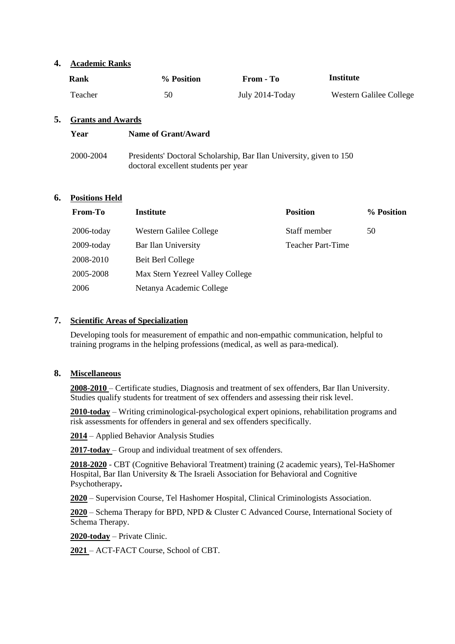#### **4. Academic Ranks**

| Rank    | % Position | From - To       | Institute               |
|---------|------------|-----------------|-------------------------|
| Teacher | 50         | July 2014-Today | Western Galilee College |

#### **5. Grants and Awards**

| Year      | Name of Grant/Award                                                                                         |
|-----------|-------------------------------------------------------------------------------------------------------------|
| 2000-2004 | Presidents' Doctoral Scholarship, Bar Ilan University, given to 150<br>doctoral excellent students per year |

#### **6. Positions Held**

| From-To       | <b>Institute</b>                 | <b>Position</b>          | % Position |
|---------------|----------------------------------|--------------------------|------------|
| $2006$ -today | Western Galilee College          | Staff member             | 50         |
| $2009$ -today | Bar Ilan University              | <b>Teacher Part-Time</b> |            |
| 2008-2010     | Beit Berl College                |                          |            |
| 2005-2008     | Max Stern Yezreel Valley College |                          |            |
| 2006          | Netanya Academic College         |                          |            |

# **7. Scientific Areas of Specialization**

Developing tools for measurement of empathic and non-empathic communication, helpful to training programs in the helping professions (medical, as well as para-medical).

# **8. Miscellaneous**

**2008-2010** – Certificate studies, Diagnosis and treatment of sex offenders, Bar Ilan University. Studies qualify students for treatment of sex offenders and assessing their risk level.

**2010-today** – Writing criminological-psychological expert opinions, rehabilitation programs and risk assessments for offenders in general and sex offenders specifically.

**2014** – Applied Behavior Analysis Studies

**2017-today** – Group and individual treatment of sex offenders.

**2018-2020** - CBT (Cognitive Behavioral Treatment) training (2 academic years), Tel-HaShomer Hospital, Bar Ilan University & The Israeli Association for Behavioral and Cognitive Psychotherapy**.**

**2020** – Supervision Course, Tel Hashomer Hospital, Clinical Criminologists Association.

**2020** – Schema Therapy for BPD, NPD & Cluster C Advanced Course, International Society of Schema Therapy.

**2020-today** – Private Clinic.

**2021** – ACT-FACT Course, School of CBT.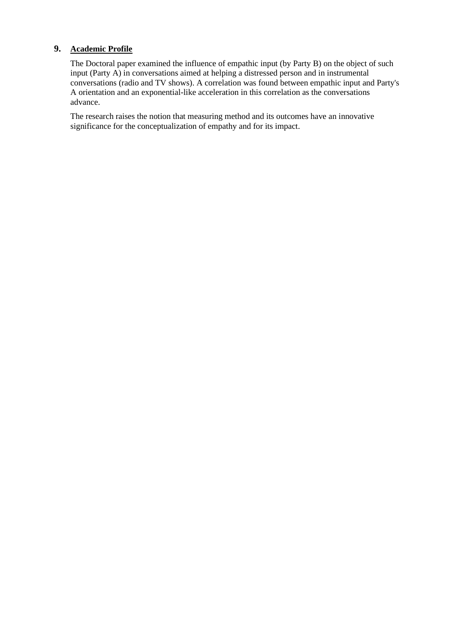# **9. Academic Profile**

The Doctoral paper examined the influence of empathic input (by Party B) on the object of such input (Party A) in conversations aimed at helping a distressed person and in instrumental conversations (radio and TV shows). A correlation was found between empathic input and Party's A orientation and an exponential-like acceleration in this correlation as the conversations advance.

The research raises the notion that measuring method and its outcomes have an innovative significance for the conceptualization of empathy and for its impact.